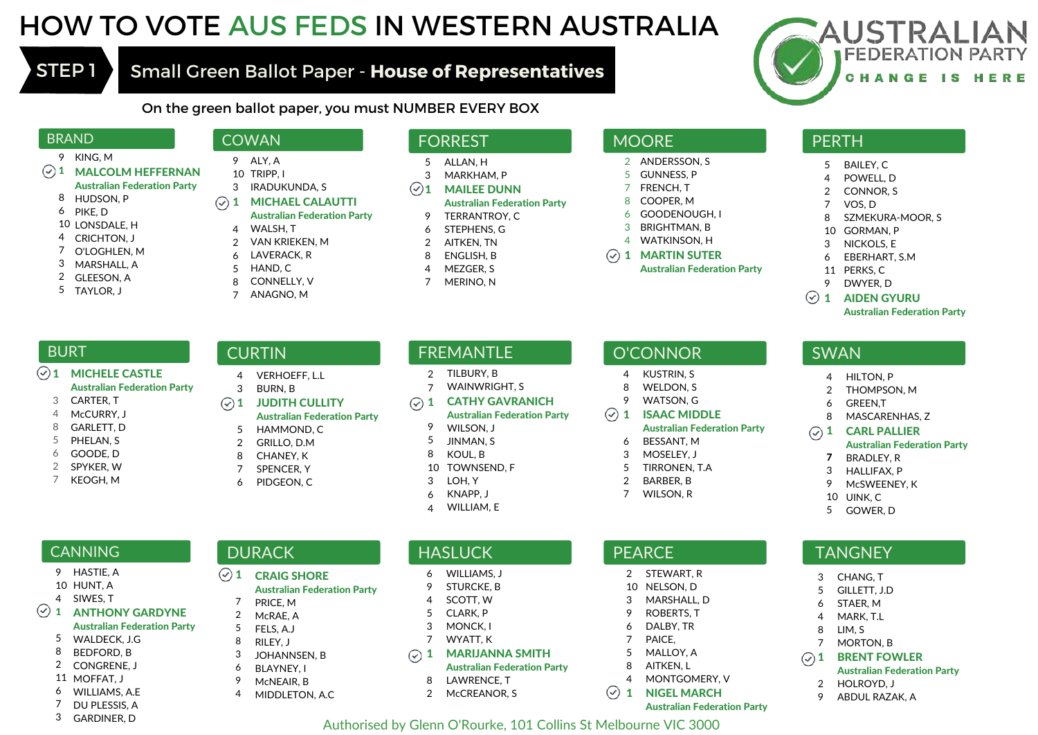# HOW TO VOTE AUS FEDS IN WESTERN AUSTRALIA

## STEP 1 Small Green Ballot Paper - **House of Representatives**



On the green ballot paper, you must NUMBER EVERY BOX

#### BRAND

- KING, M 9
- MALCOLM HEFFERNAN 1 Australian Federation Party
- HUDSON, P 8
- PIKE, D 6
- 10 LONSDALE, H
- CRICHTON, J 4
- O'LOGHLEN, M 7
- MARSHALL, A 3
- GLEESON, A 2
- TAYLOR, J 5

#### **COWAN**

- ALY, A 9
- 10 TRIPP, I
- 3 IRADUKUNDA, S MICHAEL CALAUTTI Australian Federation Party  $\odot$  1
	- WALSH, T 4
	- VAN KRIEKEN, M  $\mathfrak{2}$
	- LAVERACK, R 6
	- HAND, C 5
	- CONNELLY, V ANAGNO, M 8
	- 7

#### FORREST

- ALLAN, H 5
- MARKHAM, P 3
- MAILEE DUNN 1 Australian Federation Party
- TERRANTROY, C 9
- STEPHENS, G 6
- AITKEN, TN  $\mathfrak{2}$
- ENGLISH, B 8
- MEZGER, S 4
- MERINO, N 7

### **MOORE**

- ANDERSSON, S 2
- GUNNESS, P 5
- FRENCH, T 7
- COOPER, M 8
- GOODENOUGH, I 6
- BRIGHTMAN, B 3
- WATKINSON, H 4
- MARTIN SUTER 1
	- Australian Federation Party

#### **PERTH**

- BAILEY, C 5
- POWELL, D 4
- CONNOR, S 2
- VOS, D 7
- SZMEKURA-MOOR, S 8
- GORMAN, P 10
- NICKOLS, E 3
- EBERHART, S.M 6
- 11 PERKS, C

SWAN

> 7 3 9

> > 5

> 2 9

DWYER, D 9

4 HILTON, P THOMPSON, M GREEN,T

> MASCARENHAS, Z CARL PALLIER

BRADLEY, R HALLIFAX, P McSWEENEY, K

10 UINK, C GOWER, D

**TANGNEY** 

CHANG, T GILLETT, J.D STAER, M MARK, T.L LIM, S MORTON, B BRENT FOWLER Australian Federation Party

HOLROYD, J ABDUL RAZAK, A

Australian Federation Party

#### AIDEN GYURU 1

Australian Federation Party

#### **BURT**

- MICHELE CASTLE Australian Federation Party  $(\checkmark)$  1
	- CARTER, T 3
	- McCURRY, J 4
	- GARLETT, D 8
	- PHELAN, S 5
	- GOODE, D 6
	- SPYKER, W 2
	- KEOGH, M 7

**CANNING** HASTIE, A 9 10 HUNT, A SIWES, T 4

1

 $(\checkmark)$ 

8 2

6 7 3

WALDECK, J.G 5 BEDFORD, B CONGRENE, J 11 MOFFAT, J WILLIAMS, A.F. DU PLESSIS, A GARDINER, D

ANTHONY GARDYNE Australian Federation Party

## **CURTIN**

 $(\checkmark)$  1

- VERHOEFF, L.L 4
- BURN, B 3
- 1 JUDITH CULLITY Australian Federation Party
- HAMMOND, C 5

CRAIG SHORE

PRICE, M McRAE, A FELS, A.J RILEY, J JOHANNSEN, B BLAYNEY, I McNEAIR, B MIDDLETON, A.C

**DURACK** 

Australian Federation Party

- GRILLO, D.M 2
- CHANEY, K 8
- SPENCER, Y 7
- PIDGEON, C 6

#### FREMANTLE

- TILBURY, B 2
- WAINWRIGHT, S 7
- CATHY GAVRANICH Australian Federation Party  $\odot$  1 9
	- WILSON, J JINMAN, S 5
	- KOUL, B 8
	- TOWNSEND, F 10
	- LOH, Y 3
	- KNAPP, J 6
	- WILLIAM, E  $\overline{A}$

- **HASLUCK** WILLIAMS, J 6
- STURCKE, B 9
- SCOTT, W 4
- CLARK, P 5
- MONCK, I 3
- WYATT, K 7

8

MARIJANNA SMITH Australian Federation Party  $\odot$  1

Authorised by Glenn O'Rourke, 101 Collins St Melbourne VIC 3000

- LAWRENCE, T
- McCREANOR, S 2

#### O'CONNOR

KUSTRIN, S 4

ISAAC MIDDLE

BESSANT, M MOSELEY, J TIRRONEN, T.A BARBER, B WILSON, R

2 STEWART, R NELSON, D MARSHALL, D ROBERTS, T DALBY, TR PAICE, MALLOY, A AITKEN, L MONTGOMERY, V NIGEL MARCH

Australian Federation Party

Australian Federation Party

WELDON, S WATSON, G 8 9

 $\odot$  1

**PEARCE**